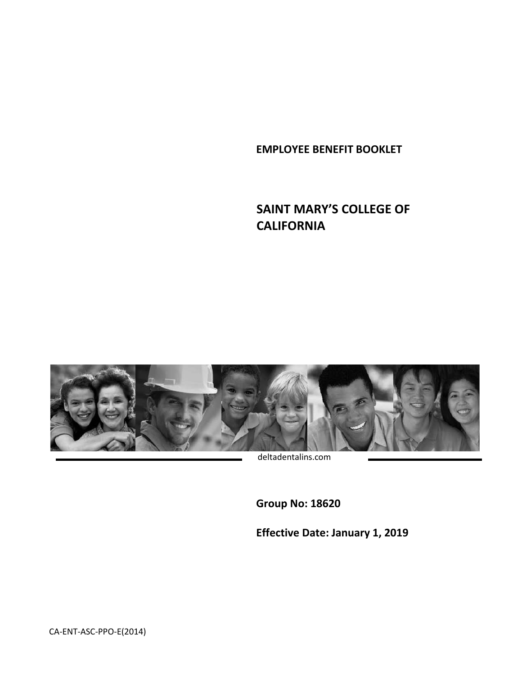**EMPLOYEE BENEFIT BOOKLET**

# **SAINT MARY'S COLLEGE OF CALIFORNIA**



deltadentalins.com

**Group No: 18620** 

**Effective Date: January 1, 2019**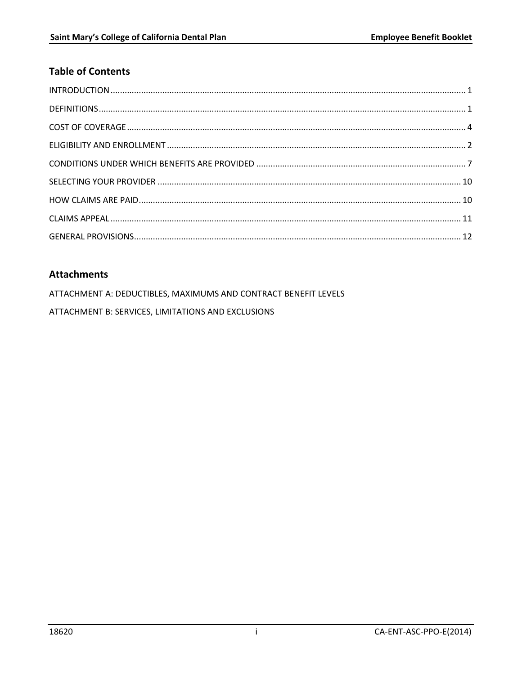# **Table of Contents**

# **Attachments**

ATTACHMENT A: DEDUCTIBLES, MAXIMUMS AND CONTRACT BENEFIT LEVELS ATTACHMENT B: SERVICES, LIMITATIONS AND EXCLUSIONS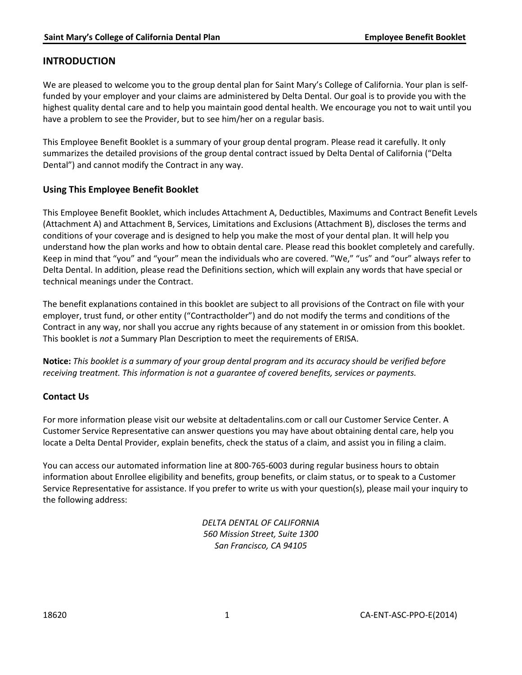### <span id="page-2-0"></span>**INTRODUCTION**

We are pleased to welcome you to the group dental plan for Saint Mary's College of California. Your plan is selffunded by your employer and your claims are administered by Delta Dental. Our goal is to provide you with the highest quality dental care and to help you maintain good dental health. We encourage you not to wait until you have a problem to see the Provider, but to see him/her on a regular basis.

This Employee Benefit Booklet is a summary of your group dental program. Please read it carefully. It only summarizes the detailed provisions of the group dental contract issued by Delta Dental of California ("Delta Dental") and cannot modify the Contract in any way.

### **Using This Employee Benefit Booklet**

This Employee Benefit Booklet, which includes Attachment A, Deductibles, Maximums and Contract Benefit Levels (Attachment A) and Attachment B, Services, Limitations and Exclusions (Attachment B), discloses the terms and conditions of your coverage and is designed to help you make the most of your dental plan. It will help you understand how the plan works and how to obtain dental care. Please read this booklet completely and carefully. Keep in mind that "you" and "your" mean the individuals who are covered. "We," "us" and "our" always refer to Delta Dental. In addition, please read the Definitions section, which will explain any words that have special or technical meanings under the Contract.

The benefit explanations contained in this booklet are subject to all provisions of the Contract on file with your employer, trust fund, or other entity ("Contractholder") and do not modify the terms and conditions of the Contract in any way, nor shall you accrue any rights because of any statement in or omission from this booklet. This booklet is *not* a Summary Plan Description to meet the requirements of ERISA.

**Notice:** *This booklet is a summary of your group dental program and its accuracy should be verified before receiving treatment. This information is not a guarantee of covered benefits, services or payments.*

### **Contact Us**

For more information please visit our website at deltadentalins.com or call our Customer Service Center. A Customer Service Representative can answer questions you may have about obtaining dental care, help you locate a Delta Dental Provider, explain benefits, check the status of a claim, and assist you in filing a claim.

You can access our automated information line at 800-765-6003 during regular business hours to obtain information about Enrollee eligibility and benefits, group benefits, or claim status, or to speak to a Customer Service Representative for assistance. If you prefer to write us with your question(s), please mail your inquiry to the following address:

> <span id="page-2-1"></span>*DELTA DENTAL OF CALIFORNIA 560 Mission Street, Suite 1300 San Francisco, CA 94105*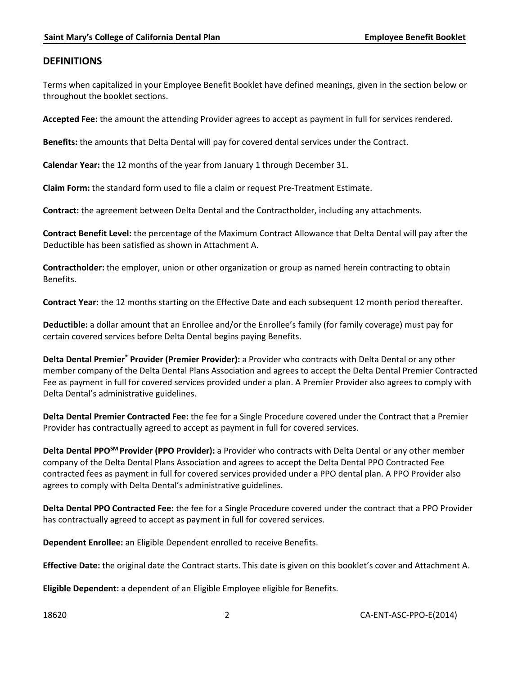### <span id="page-3-0"></span>**DEFINITIONS**

Terms when capitalized in your Employee Benefit Booklet have defined meanings, given in the section below or throughout the booklet sections.

**Accepted Fee:** the amount the attending Provider agrees to accept as payment in full for services rendered.

**Benefits:** the amounts that Delta Dental will pay for covered dental services under the Contract.

**Calendar Year:** the 12 months of the year from January 1 through December 31.

**Claim Form:** the standard form used to file a claim or request Pre-Treatment Estimate.

**Contract:** the agreement between Delta Dental and the Contractholder, including any attachments.

**Contract Benefit Level:** the percentage of the Maximum Contract Allowance that Delta Dental will pay after the Deductible has been satisfied as shown in Attachment A.

**Contractholder:** the employer, union or other organization or group as named herein contracting to obtain Benefits.

**Contract Year:** the 12 months starting on the Effective Date and each subsequent 12 month period thereafter.

**Deductible:** a dollar amount that an Enrollee and/or the Enrollee's family (for family coverage) must pay for certain covered services before Delta Dental begins paying Benefits.

**Delta Dental Premier® Provider (Premier Provider):** a Provider who contracts with Delta Dental or any other member company of the Delta Dental Plans Association and agrees to accept the Delta Dental Premier Contracted Fee as payment in full for covered services provided under a plan. A Premier Provider also agrees to comply with Delta Dental's administrative guidelines.

**Delta Dental Premier Contracted Fee:** the fee for a Single Procedure covered under the Contract that a Premier Provider has contractually agreed to accept as payment in full for covered services.

**Delta Dental PPOSM Provider (PPO Provider):** a Provider who contracts with Delta Dental or any other member company of the Delta Dental Plans Association and agrees to accept the Delta Dental PPO Contracted Fee contracted fees as payment in full for covered services provided under a PPO dental plan. A PPO Provider also agrees to comply with Delta Dental's administrative guidelines.

**Delta Dental PPO Contracted Fee:** the fee for a Single Procedure covered under the contract that a PPO Provider has contractually agreed to accept as payment in full for covered services.

**Dependent Enrollee:** an Eligible Dependent enrolled to receive Benefits.

**Effective Date:** the original date the Contract starts. This date is given on this booklet's cover and Attachment A.

**Eligible Dependent:** a dependent of an Eligible Employee eligible for Benefits.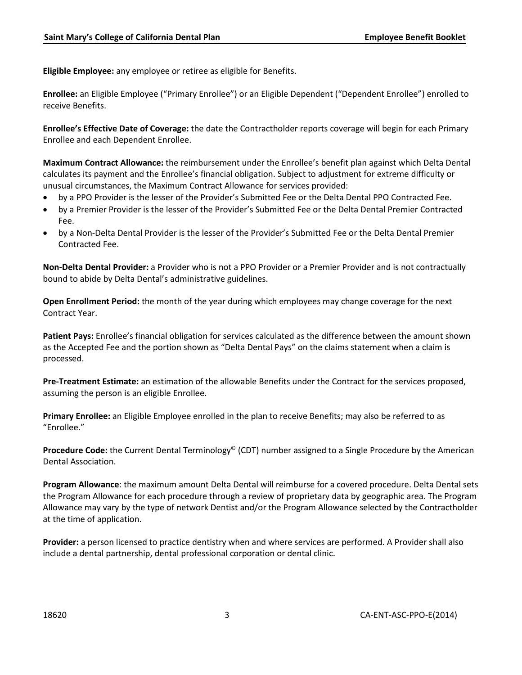**Eligible Employee:** any employee or retiree as eligible for Benefits.

**Enrollee:** an Eligible Employee ("Primary Enrollee") or an Eligible Dependent ("Dependent Enrollee") enrolled to receive Benefits.

**Enrollee's Effective Date of Coverage:** the date the Contractholder reports coverage will begin for each Primary Enrollee and each Dependent Enrollee.

**Maximum Contract Allowance:** the reimbursement under the Enrollee's benefit plan against which Delta Dental calculates its payment and the Enrollee's financial obligation. Subject to adjustment for extreme difficulty or unusual circumstances, the Maximum Contract Allowance for services provided:

- by a PPO Provider is the lesser of the Provider's Submitted Fee or the Delta Dental PPO Contracted Fee.
- by a Premier Provider is the lesser of the Provider's Submitted Fee or the Delta Dental Premier Contracted Fee.
- by a Non-Delta Dental Provider is the lesser of the Provider's Submitted Fee or the Delta Dental Premier Contracted Fee.

**Non-Delta Dental Provider:** a Provider who is not a PPO Provider or a Premier Provider and is not contractually bound to abide by Delta Dental's administrative guidelines.

**Open Enrollment Period:** the month of the year during which employees may change coverage for the next Contract Year.

**Patient Pays:** Enrollee's financial obligation for services calculated as the difference between the amount shown as the Accepted Fee and the portion shown as "Delta Dental Pays" on the claims statement when a claim is processed.

**Pre-Treatment Estimate:** an estimation of the allowable Benefits under the Contract for the services proposed, assuming the person is an eligible Enrollee.

**Primary Enrollee:** an Eligible Employee enrolled in the plan to receive Benefits; may also be referred to as "Enrollee."

**Procedure Code:** the Current Dental Terminology<sup>©</sup> (CDT) number assigned to a Single Procedure by the American Dental Association.

**Program Allowance**: the maximum amount Delta Dental will reimburse for a covered procedure. Delta Dental sets the Program Allowance for each procedure through a review of proprietary data by geographic area. The Program Allowance may vary by the type of network Dentist and/or the Program Allowance selected by the Contractholder at the time of application.

**Provider:** a person licensed to practice dentistry when and where services are performed. A Provider shall also include a dental partnership, dental professional corporation or dental clinic.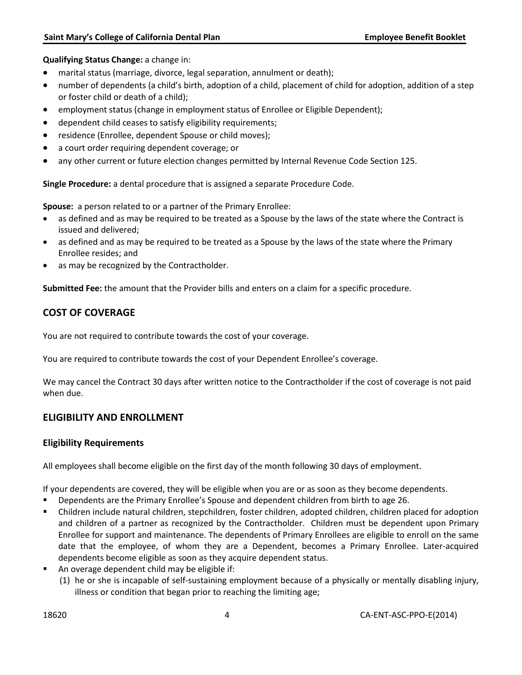**Qualifying Status Change:** a change in:

- marital status (marriage, divorce, legal separation, annulment or death);
- number of dependents (a child's birth, adoption of a child, placement of child for adoption, addition of a step or foster child or death of a child);
- employment status (change in employment status of Enrollee or Eligible Dependent);
- dependent child ceases to satisfy eligibility requirements;
- residence (Enrollee, dependent Spouse or child moves);
- a court order requiring dependent coverage; or
- any other current or future election changes permitted by Internal Revenue Code Section 125.

**Single Procedure:** a dental procedure that is assigned a separate Procedure Code.

**Spouse:** a person related to or a partner of the Primary Enrollee:

- as defined and as may be required to be treated as a Spouse by the laws of the state where the Contract is issued and delivered;
- as defined and as may be required to be treated as a Spouse by the laws of the state where the Primary Enrollee resides; and
- as may be recognized by the Contractholder.

**Submitted Fee:** the amount that the Provider bills and enters on a claim for a specific procedure.

# <span id="page-5-0"></span>**COST OF COVERAGE**

You are not required to contribute towards the cost of your coverage.

You are required to contribute towards the cost of your Dependent Enrollee's coverage.

We may cancel the Contract 30 days after written notice to the Contractholder if the cost of coverage is not paid when due.

# **ELIGIBILITY AND ENROLLMENT**

#### **Eligibility Requirements**

All employees shall become eligible on the first day of the month following 30 days of employment.

If your dependents are covered, they will be eligible when you are or as soon as they become dependents.

- Dependents are the Primary Enrollee's Spouse and dependent children from birth to age 26.
- Children include natural children, stepchildren, foster children, adopted children, children placed for adoption and children of a partner as recognized by the Contractholder. Children must be dependent upon Primary Enrollee for support and maintenance. The dependents of Primary Enrollees are eligible to enroll on the same date that the employee, of whom they are a Dependent, becomes a Primary Enrollee. Later-acquired dependents become eligible as soon as they acquire dependent status.
- An overage dependent child may be eligible if:
	- (1) he or she is incapable of self-sustaining employment because of a physically or mentally disabling injury, illness or condition that began prior to reaching the limiting age;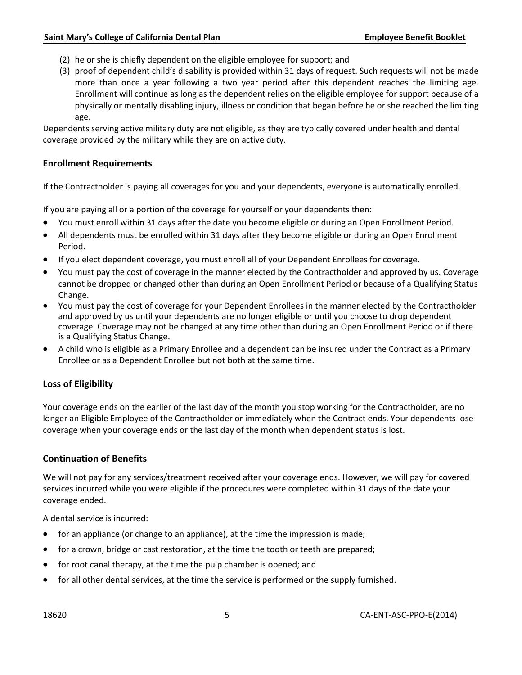- (2) he or she is chiefly dependent on the eligible employee for support; and
- (3) proof of dependent child's disability is provided within 31 days of request. Such requests will not be made more than once a year following a two year period after this dependent reaches the limiting age. Enrollment will continue as long as the dependent relies on the eligible employee for support because of a physically or mentally disabling injury, illness or condition that began before he or she reached the limiting age.

Dependents serving active military duty are not eligible, as they are typically covered under health and dental coverage provided by the military while they are on active duty.

#### **Enrollment Requirements**

If the Contractholder is paying all coverages for you and your dependents, everyone is automatically enrolled.

If you are paying all or a portion of the coverage for yourself or your dependents then:

- You must enroll within 31 days after the date you become eligible or during an Open Enrollment Period.
- All dependents must be enrolled within 31 days after they become eligible or during an Open Enrollment Period.
- If you elect dependent coverage, you must enroll all of your Dependent Enrollees for coverage.
- You must pay the cost of coverage in the manner elected by the Contractholder and approved by us. Coverage cannot be dropped or changed other than during an Open Enrollment Period or because of a Qualifying Status Change.
- You must pay the cost of coverage for your Dependent Enrollees in the manner elected by the Contractholder and approved by us until your dependents are no longer eligible or until you choose to drop dependent coverage. Coverage may not be changed at any time other than during an Open Enrollment Period or if there is a Qualifying Status Change.
- A child who is eligible as a Primary Enrollee and a dependent can be insured under the Contract as a Primary Enrollee or as a Dependent Enrollee but not both at the same time.

#### **Loss of Eligibility**

Your coverage ends on the earlier of the last day of the month you stop working for the Contractholder, are no longer an Eligible Employee of the Contractholder or immediately when the Contract ends. Your dependents lose coverage when your coverage ends or the last day of the month when dependent status is lost.

#### **Continuation of Benefits**

We will not pay for any services/treatment received after your coverage ends. However, we will pay for covered services incurred while you were eligible if the procedures were completed within 31 days of the date your coverage ended.

A dental service is incurred:

- for an appliance (or change to an appliance), at the time the impression is made;
- for a crown, bridge or cast restoration, at the time the tooth or teeth are prepared;
- for root canal therapy, at the time the pulp chamber is opened; and
- for all other dental services, at the time the service is performed or the supply furnished.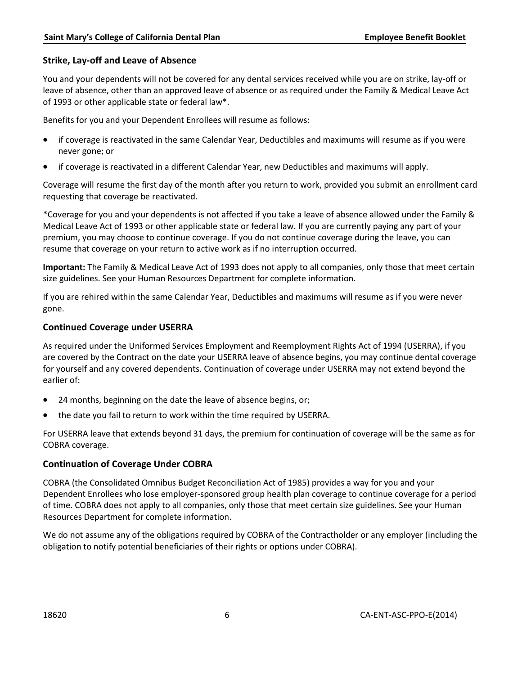### **Strike, Lay-off and Leave of Absence**

You and your dependents will not be covered for any dental services received while you are on strike, lay-off or leave of absence, other than an approved leave of absence or as required under the Family & Medical Leave Act of 1993 or other applicable state or federal law\*.

Benefits for you and your Dependent Enrollees will resume as follows:

- if coverage is reactivated in the same Calendar Year, Deductibles and maximums will resume as if you were never gone; or
- if coverage is reactivated in a different Calendar Year, new Deductibles and maximums will apply.

Coverage will resume the first day of the month after you return to work, provided you submit an enrollment card requesting that coverage be reactivated.

\*Coverage for you and your dependents is not affected if you take a leave of absence allowed under the Family & Medical Leave Act of 1993 or other applicable state or federal law. If you are currently paying any part of your premium, you may choose to continue coverage. If you do not continue coverage during the leave, you can resume that coverage on your return to active work as if no interruption occurred.

**Important:** The Family & Medical Leave Act of 1993 does not apply to all companies, only those that meet certain size guidelines. See your Human Resources Department for complete information.

If you are rehired within the same Calendar Year, Deductibles and maximums will resume as if you were never gone.

### **Continued Coverage under USERRA**

As required under the Uniformed Services Employment and Reemployment Rights Act of 1994 (USERRA), if you are covered by the Contract on the date your USERRA leave of absence begins, you may continue dental coverage for yourself and any covered dependents. Continuation of coverage under USERRA may not extend beyond the earlier of:

- 24 months, beginning on the date the leave of absence begins, or;
- the date you fail to return to work within the time required by USERRA.

For USERRA leave that extends beyond 31 days, the premium for continuation of coverage will be the same as for COBRA coverage.

### **Continuation of Coverage Under COBRA**

COBRA (the Consolidated Omnibus Budget Reconciliation Act of 1985) provides a way for you and your Dependent Enrollees who lose employer-sponsored group health plan coverage to continue coverage for a period of time. COBRA does not apply to all companies, only those that meet certain size guidelines. See your Human Resources Department for complete information.

We do not assume any of the obligations required by COBRA of the Contractholder or any employer (including the obligation to notify potential beneficiaries of their rights or options under COBRA).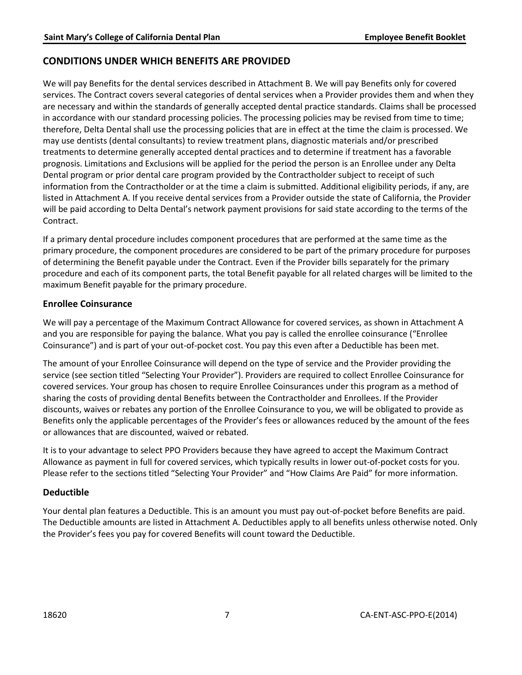### <span id="page-8-0"></span>**CONDITIONS UNDER WHICH BENEFITS ARE PROVIDED**

We will pay Benefits for the dental services described in Attachment B. We will pay Benefits only for covered services. The Contract covers several categories of dental services when a Provider provides them and when they are necessary and within the standards of generally accepted dental practice standards. Claims shall be processed in accordance with our standard processing policies. The processing policies may be revised from time to time; therefore, Delta Dental shall use the processing policies that are in effect at the time the claim is processed. We may use dentists (dental consultants) to review treatment plans, diagnostic materials and/or prescribed treatments to determine generally accepted dental practices and to determine if treatment has a favorable prognosis. Limitations and Exclusions will be applied for the period the person is an Enrollee under any Delta Dental program or prior dental care program provided by the Contractholder subject to receipt of such information from the Contractholder or at the time a claim is submitted. Additional eligibility periods, if any, are listed in Attachment A. If you receive dental services from a Provider outside the state of California, the Provider will be paid according to Delta Dental's network payment provisions for said state according to the terms of the Contract.

If a primary dental procedure includes component procedures that are performed at the same time as the primary procedure, the component procedures are considered to be part of the primary procedure for purposes of determining the Benefit payable under the Contract. Even if the Provider bills separately for the primary procedure and each of its component parts, the total Benefit payable for all related charges will be limited to the maximum Benefit payable for the primary procedure.

#### **Enrollee Coinsurance**

We will pay a percentage of the Maximum Contract Allowance for covered services, as shown in Attachment A and you are responsible for paying the balance. What you pay is called the enrollee coinsurance ("Enrollee Coinsurance") and is part of your out-of-pocket cost. You pay this even after a Deductible has been met.

The amount of your Enrollee Coinsurance will depend on the type of service and the Provider providing the service (see section titled "Selecting Your Provider"). Providers are required to collect Enrollee Coinsurance for covered services. Your group has chosen to require Enrollee Coinsurances under this program as a method of sharing the costs of providing dental Benefits between the Contractholder and Enrollees. If the Provider discounts, waives or rebates any portion of the Enrollee Coinsurance to you, we will be obligated to provide as Benefits only the applicable percentages of the Provider's fees or allowances reduced by the amount of the fees or allowances that are discounted, waived or rebated.

It is to your advantage to select PPO Providers because they have agreed to accept the Maximum Contract Allowance as payment in full for covered services, which typically results in lower out-of-pocket costs for you. Please refer to the sections titled "Selecting Your Provider" and "How Claims Are Paid" for more information.

#### **Deductible**

Your dental plan features a Deductible. This is an amount you must pay out-of-pocket before Benefits are paid. The Deductible amounts are listed in Attachment A. Deductibles apply to all benefits unless otherwise noted. Only the Provider's fees you pay for covered Benefits will count toward the Deductible.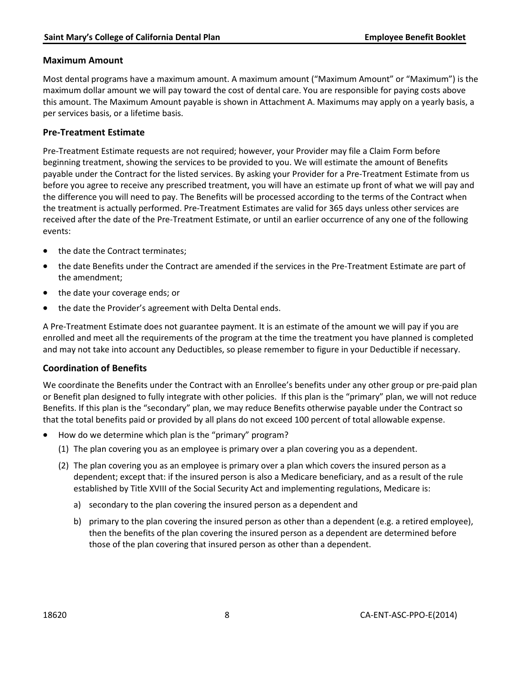### **Maximum Amount**

Most dental programs have a maximum amount. A maximum amount ("Maximum Amount" or "Maximum") is the maximum dollar amount we will pay toward the cost of dental care. You are responsible for paying costs above this amount. The Maximum Amount payable is shown in Attachment A. Maximums may apply on a yearly basis, a per services basis, or a lifetime basis.

### **Pre-Treatment Estimate**

Pre-Treatment Estimate requests are not required; however, your Provider may file a Claim Form before beginning treatment, showing the services to be provided to you. We will estimate the amount of Benefits payable under the Contract for the listed services. By asking your Provider for a Pre-Treatment Estimate from us before you agree to receive any prescribed treatment, you will have an estimate up front of what we will pay and the difference you will need to pay. The Benefits will be processed according to the terms of the Contract when the treatment is actually performed. Pre-Treatment Estimates are valid for 365 days unless other services are received after the date of the Pre-Treatment Estimate, or until an earlier occurrence of any one of the following events:

- the date the Contract terminates;
- the date Benefits under the Contract are amended if the services in the Pre-Treatment Estimate are part of the amendment;
- the date your coverage ends; or
- the date the Provider's agreement with Delta Dental ends.

A Pre-Treatment Estimate does not guarantee payment. It is an estimate of the amount we will pay if you are enrolled and meet all the requirements of the program at the time the treatment you have planned is completed and may not take into account any Deductibles, so please remember to figure in your Deductible if necessary.

#### **Coordination of Benefits**

We coordinate the Benefits under the Contract with an Enrollee's benefits under any other group or pre-paid plan or Benefit plan designed to fully integrate with other policies. If this plan is the "primary" plan, we will not reduce Benefits. If this plan is the "secondary" plan, we may reduce Benefits otherwise payable under the Contract so that the total benefits paid or provided by all plans do not exceed 100 percent of total allowable expense.

- How do we determine which plan is the "primary" program?
	- (1) The plan covering you as an employee is primary over a plan covering you as a dependent.
	- (2) The plan covering you as an employee is primary over a plan which covers the insured person as a dependent; except that: if the insured person is also a Medicare beneficiary, and as a result of the rule established by Title XVIII of the Social Security Act and implementing regulations, Medicare is:
		- a) secondary to the plan covering the insured person as a dependent and
		- b) primary to the plan covering the insured person as other than a dependent (e.g. a retired employee), then the benefits of the plan covering the insured person as a dependent are determined before those of the plan covering that insured person as other than a dependent.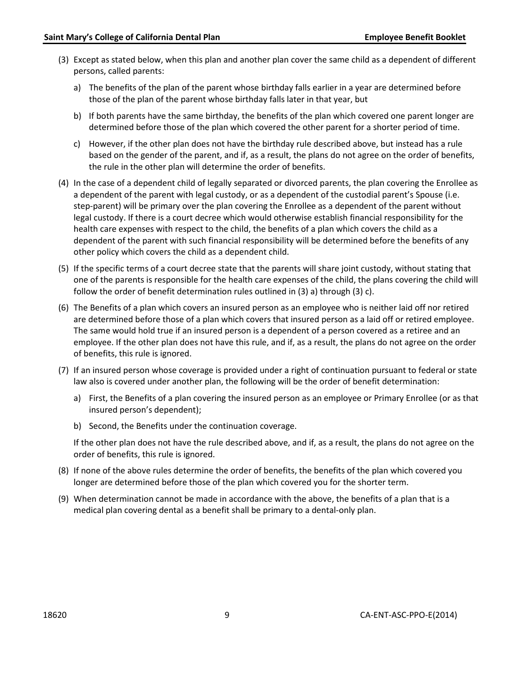- (3) Except as stated below, when this plan and another plan cover the same child as a dependent of different persons, called parents:
	- a) The benefits of the plan of the parent whose birthday falls earlier in a year are determined before those of the plan of the parent whose birthday falls later in that year, but
	- b) If both parents have the same birthday, the benefits of the plan which covered one parent longer are determined before those of the plan which covered the other parent for a shorter period of time.
	- c) However, if the other plan does not have the birthday rule described above, but instead has a rule based on the gender of the parent, and if, as a result, the plans do not agree on the order of benefits, the rule in the other plan will determine the order of benefits.
- (4) In the case of a dependent child of legally separated or divorced parents, the plan covering the Enrollee as a dependent of the parent with legal custody, or as a dependent of the custodial parent's Spouse (i.e. step-parent) will be primary over the plan covering the Enrollee as a dependent of the parent without legal custody. If there is a court decree which would otherwise establish financial responsibility for the health care expenses with respect to the child, the benefits of a plan which covers the child as a dependent of the parent with such financial responsibility will be determined before the benefits of any other policy which covers the child as a dependent child.
- (5) If the specific terms of a court decree state that the parents will share joint custody, without stating that one of the parents is responsible for the health care expenses of the child, the plans covering the child will follow the order of benefit determination rules outlined in (3) a) through (3) c).
- (6) The Benefits of a plan which covers an insured person as an employee who is neither laid off nor retired are determined before those of a plan which covers that insured person as a laid off or retired employee. The same would hold true if an insured person is a dependent of a person covered as a retiree and an employee. If the other plan does not have this rule, and if, as a result, the plans do not agree on the order of benefits, this rule is ignored.
- (7) If an insured person whose coverage is provided under a right of continuation pursuant to federal or state law also is covered under another plan, the following will be the order of benefit determination:
	- a) First, the Benefits of a plan covering the insured person as an employee or Primary Enrollee (or as that insured person's dependent);
	- b) Second, the Benefits under the continuation coverage.

If the other plan does not have the rule described above, and if, as a result, the plans do not agree on the order of benefits, this rule is ignored.

- (8) If none of the above rules determine the order of benefits, the benefits of the plan which covered you longer are determined before those of the plan which covered you for the shorter term.
- <span id="page-10-0"></span>(9) When determination cannot be made in accordance with the above, the benefits of a plan that is a medical plan covering dental as a benefit shall be primary to a dental-only plan.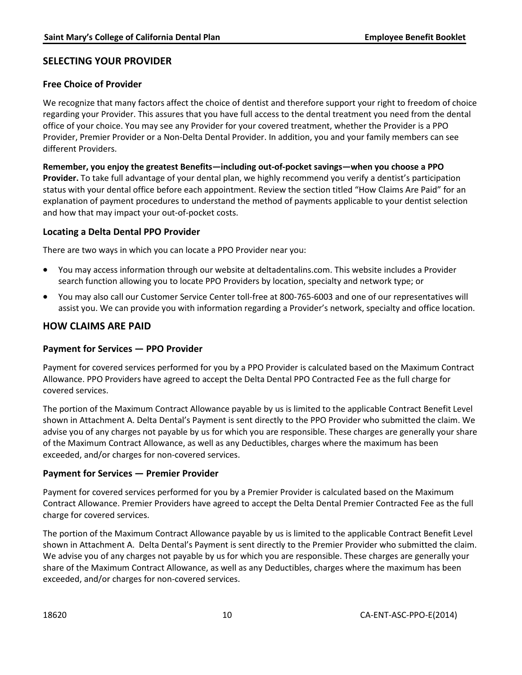## **SELECTING YOUR PROVIDER**

### **Free Choice of Provider**

We recognize that many factors affect the choice of dentist and therefore support your right to freedom of choice regarding your Provider. This assures that you have full access to the dental treatment you need from the dental office of your choice. You may see any Provider for your covered treatment, whether the Provider is a PPO Provider, Premier Provider or a Non-Delta Dental Provider. In addition, you and your family members can see different Providers.

**Remember, you enjoy the greatest Benefits—including out-of-pocket savings—when you choose a PPO Provider.** To take full advantage of your dental plan, we highly recommend you verify a dentist's participation status with your dental office before each appointment. Review the section titled "How Claims Are Paid" for an explanation of payment procedures to understand the method of payments applicable to your dentist selection and how that may impact your out-of-pocket costs.

#### **Locating a Delta Dental PPO Provider**

There are two ways in which you can locate a PPO Provider near you:

- You may access information through our website at deltadentalins.com. This website includes a Provider search function allowing you to locate PPO Providers by location, specialty and network type; or
- You may also call our Customer Service Center toll-free at 800-765-6003 and one of our representatives will assist you. We can provide you with information regarding a Provider's network, specialty and office location.

### <span id="page-11-0"></span>**HOW CLAIMS ARE PAID**

#### **Payment for Services — PPO Provider**

Payment for covered services performed for you by a PPO Provider is calculated based on the Maximum Contract Allowance. PPO Providers have agreed to accept the Delta Dental PPO Contracted Fee as the full charge for covered services.

The portion of the Maximum Contract Allowance payable by us is limited to the applicable Contract Benefit Level shown in Attachment A. Delta Dental's Payment is sent directly to the PPO Provider who submitted the claim. We advise you of any charges not payable by us for which you are responsible. These charges are generally your share of the Maximum Contract Allowance, as well as any Deductibles, charges where the maximum has been exceeded, and/or charges for non-covered services.

#### **Payment for Services — Premier Provider**

Payment for covered services performed for you by a Premier Provider is calculated based on the Maximum Contract Allowance. Premier Providers have agreed to accept the Delta Dental Premier Contracted Fee as the full charge for covered services.

The portion of the Maximum Contract Allowance payable by us is limited to the applicable Contract Benefit Level shown in Attachment A. Delta Dental's Payment is sent directly to the Premier Provider who submitted the claim. We advise you of any charges not payable by us for which you are responsible. These charges are generally your share of the Maximum Contract Allowance, as well as any Deductibles, charges where the maximum has been exceeded, and/or charges for non-covered services.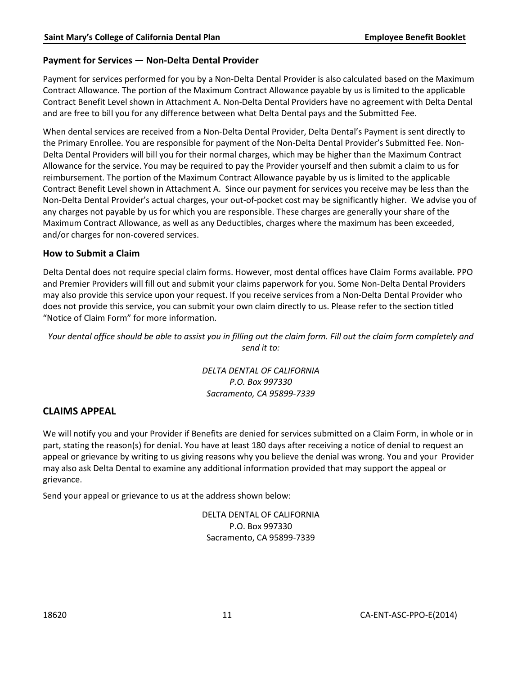### **Payment for Services — Non-Delta Dental Provider**

Payment for services performed for you by a Non-Delta Dental Provider is also calculated based on the Maximum Contract Allowance. The portion of the Maximum Contract Allowance payable by us is limited to the applicable Contract Benefit Level shown in Attachment A. Non-Delta Dental Providers have no agreement with Delta Dental and are free to bill you for any difference between what Delta Dental pays and the Submitted Fee.

When dental services are received from a Non-Delta Dental Provider, Delta Dental's Payment is sent directly to the Primary Enrollee. You are responsible for payment of the Non-Delta Dental Provider's Submitted Fee. Non-Delta Dental Providers will bill you for their normal charges, which may be higher than the Maximum Contract Allowance for the service. You may be required to pay the Provider yourself and then submit a claim to us for reimbursement. The portion of the Maximum Contract Allowance payable by us is limited to the applicable Contract Benefit Level shown in Attachment A. Since our payment for services you receive may be less than the Non-Delta Dental Provider's actual charges, your out-of-pocket cost may be significantly higher. We advise you of any charges not payable by us for which you are responsible. These charges are generally your share of the Maximum Contract Allowance, as well as any Deductibles, charges where the maximum has been exceeded, and/or charges for non-covered services.

#### **How to Submit a Claim**

Delta Dental does not require special claim forms. However, most dental offices have Claim Forms available. PPO and Premier Providers will fill out and submit your claims paperwork for you. Some Non-Delta Dental Providers may also provide this service upon your request. If you receive services from a Non-Delta Dental Provider who does not provide this service, you can submit your own claim directly to us. Please refer to the section titled "Notice of Claim Form" for more information.

<span id="page-12-0"></span>*Your dental office should be able to assist you in filling out the claim form. Fill out the claim form completely and send it to:*

> *DELTA DENTAL OF CALIFORNIA P.O. Box 997330 Sacramento, CA 95899-7339*

### **CLAIMS APPEAL**

We will notify you and your Provider if Benefits are denied for services submitted on a Claim Form, in whole or in part, stating the reason(s) for denial. You have at least 180 days after receiving a notice of denial to request an appeal or grievance by writing to us giving reasons why you believe the denial was wrong. You and your Provider may also ask Delta Dental to examine any additional information provided that may support the appeal or grievance.

Send your appeal or grievance to us at the address shown below:

DELTA DENTAL OF CALIFORNIA P.O. Box 997330 Sacramento, CA 95899-7339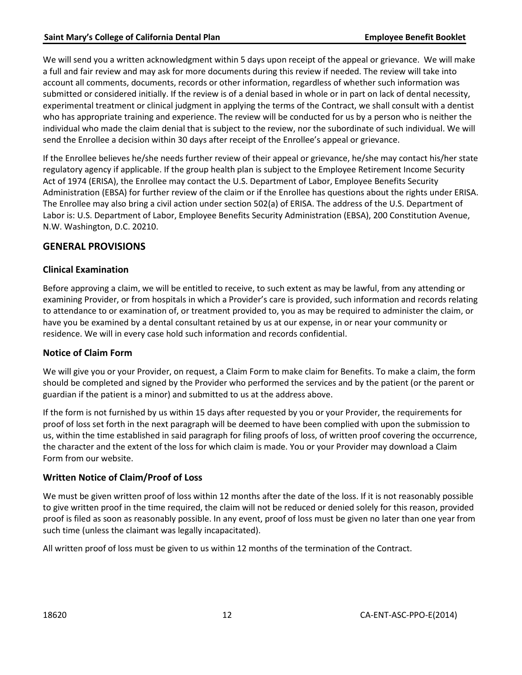We will send you a written acknowledgment within 5 days upon receipt of the appeal or grievance. We will make a full and fair review and may ask for more documents during this review if needed. The review will take into account all comments, documents, records or other information, regardless of whether such information was submitted or considered initially. If the review is of a denial based in whole or in part on lack of dental necessity, experimental treatment or clinical judgment in applying the terms of the Contract, we shall consult with a dentist who has appropriate training and experience. The review will be conducted for us by a person who is neither the individual who made the claim denial that is subject to the review, nor the subordinate of such individual. We will send the Enrollee a decision within 30 days after receipt of the Enrollee's appeal or grievance.

<span id="page-13-0"></span>If the Enrollee believes he/she needs further review of their appeal or grievance, he/she may contact his/her state regulatory agency if applicable. If the group health plan is subject to the Employee Retirement Income Security Act of 1974 (ERISA), the Enrollee may contact the U.S. Department of Labor, Employee Benefits Security Administration (EBSA) for further review of the claim or if the Enrollee has questions about the rights under ERISA. The Enrollee may also bring a civil action under section 502(a) of ERISA. The address of the U.S. Department of Labor is: U.S. Department of Labor, Employee Benefits Security Administration (EBSA), 200 Constitution Avenue, N.W. Washington, D.C. 20210.

### **GENERAL PROVISIONS**

### **Clinical Examination**

Before approving a claim, we will be entitled to receive, to such extent as may be lawful, from any attending or examining Provider, or from hospitals in which a Provider's care is provided, such information and records relating to attendance to or examination of, or treatment provided to, you as may be required to administer the claim, or have you be examined by a dental consultant retained by us at our expense, in or near your community or residence. We will in every case hold such information and records confidential.

#### **Notice of Claim Form**

We will give you or your Provider, on request, a Claim Form to make claim for Benefits. To make a claim, the form should be completed and signed by the Provider who performed the services and by the patient (or the parent or guardian if the patient is a minor) and submitted to us at the address above.

If the form is not furnished by us within 15 days after requested by you or your Provider, the requirements for proof of loss set forth in the next paragraph will be deemed to have been complied with upon the submission to us, within the time established in said paragraph for filing proofs of loss, of written proof covering the occurrence, the character and the extent of the loss for which claim is made. You or your Provider may download a Claim Form from our website.

### **Written Notice of Claim/Proof of Loss**

We must be given written proof of loss within 12 months after the date of the loss. If it is not reasonably possible to give written proof in the time required, the claim will not be reduced or denied solely for this reason, provided proof is filed as soon as reasonably possible. In any event, proof of loss must be given no later than one year from such time (unless the claimant was legally incapacitated).

All written proof of loss must be given to us within 12 months of the termination of the Contract.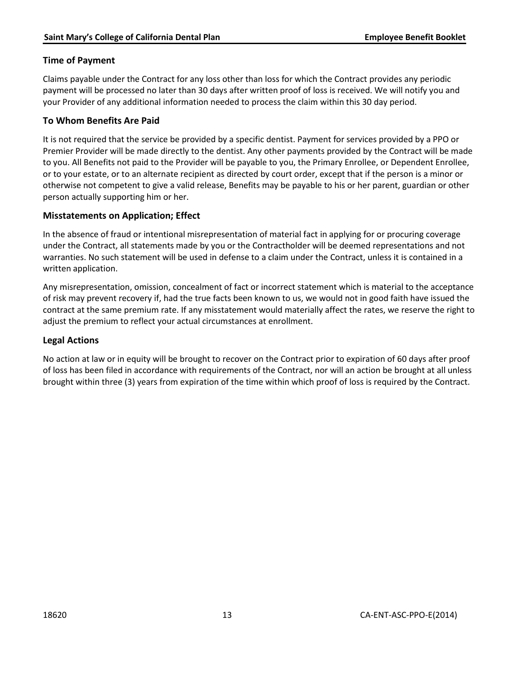### **Time of Payment**

Claims payable under the Contract for any loss other than loss for which the Contract provides any periodic payment will be processed no later than 30 days after written proof of loss is received. We will notify you and your Provider of any additional information needed to process the claim within this 30 day period.

### **To Whom Benefits Are Paid**

It is not required that the service be provided by a specific dentist. Payment for services provided by a PPO or Premier Provider will be made directly to the dentist. Any other payments provided by the Contract will be made to you. All Benefits not paid to the Provider will be payable to you, the Primary Enrollee, or Dependent Enrollee, or to your estate, or to an alternate recipient as directed by court order, except that if the person is a minor or otherwise not competent to give a valid release, Benefits may be payable to his or her parent, guardian or other person actually supporting him or her.

### **Misstatements on Application; Effect**

In the absence of fraud or intentional misrepresentation of material fact in applying for or procuring coverage under the Contract, all statements made by you or the Contractholder will be deemed representations and not warranties. No such statement will be used in defense to a claim under the Contract, unless it is contained in a written application.

Any misrepresentation, omission, concealment of fact or incorrect statement which is material to the acceptance of risk may prevent recovery if, had the true facts been known to us, we would not in good faith have issued the contract at the same premium rate. If any misstatement would materially affect the rates, we reserve the right to adjust the premium to reflect your actual circumstances at enrollment.

### **Legal Actions**

No action at law or in equity will be brought to recover on the Contract prior to expiration of 60 days after proof of loss has been filed in accordance with requirements of the Contract, nor will an action be brought at all unless brought within three (3) years from expiration of the time within which proof of loss is required by the Contract.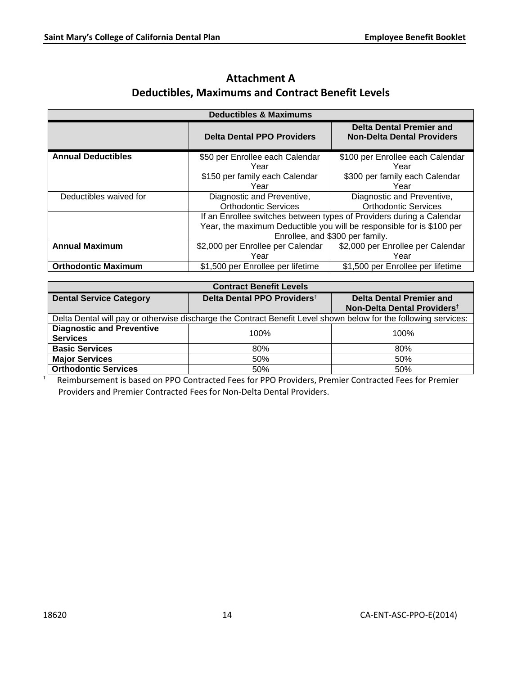| <b>Deductibles &amp; Maximums</b> |                                   |                                                                       |  |  |
|-----------------------------------|-----------------------------------|-----------------------------------------------------------------------|--|--|
|                                   | <b>Delta Dental PPO Providers</b> | <b>Delta Dental Premier and</b><br><b>Non-Delta Dental Providers</b>  |  |  |
| <b>Annual Deductibles</b>         | \$50 per Enrollee each Calendar   | \$100 per Enrollee each Calendar                                      |  |  |
|                                   | Year                              | Year                                                                  |  |  |
|                                   | \$150 per family each Calendar    | \$300 per family each Calendar                                        |  |  |
|                                   | Year                              | Year                                                                  |  |  |
| Deductibles waived for            | Diagnostic and Preventive,        | Diagnostic and Preventive,                                            |  |  |
|                                   | <b>Orthodontic Services</b>       | <b>Orthodontic Services</b>                                           |  |  |
|                                   |                                   | If an Enrollee switches between types of Providers during a Calendar  |  |  |
|                                   |                                   | Year, the maximum Deductible you will be responsible for is \$100 per |  |  |
|                                   | Enrollee, and \$300 per family.   |                                                                       |  |  |
| <b>Annual Maximum</b>             | \$2,000 per Enrollee per Calendar | \$2,000 per Enrollee per Calendar                                     |  |  |
|                                   | Year                              | Year                                                                  |  |  |
| <b>Orthodontic Maximum</b>        | \$1,500 per Enrollee per lifetime | \$1,500 per Enrollee per lifetime                                     |  |  |

# **Attachment A Deductibles, Maximums and Contract Benefit Levels**

| <b>Contract Benefit Levels</b>                                                                                  |                                         |                                                                            |  |  |
|-----------------------------------------------------------------------------------------------------------------|-----------------------------------------|----------------------------------------------------------------------------|--|--|
| <b>Dental Service Category</b>                                                                                  | Delta Dental PPO Providers <sup>t</sup> | <b>Delta Dental Premier and</b><br>Non-Delta Dental Providers <sup>t</sup> |  |  |
| Delta Dental will pay or otherwise discharge the Contract Benefit Level shown below for the following services: |                                         |                                                                            |  |  |
| <b>Diagnostic and Preventive</b><br><b>Services</b>                                                             | 100%                                    | 100%                                                                       |  |  |
| <b>Basic Services</b>                                                                                           | 80%                                     | 80%                                                                        |  |  |
| <b>Major Services</b>                                                                                           | 50%                                     | 50%                                                                        |  |  |
| <b>Orthodontic Services</b>                                                                                     | 50%                                     | 50%                                                                        |  |  |

† Reimbursement is based on PPO Contracted Fees for PPO Providers, Premier Contracted Fees for Premier Providers and Premier Contracted Fees for Non-Delta Dental Providers.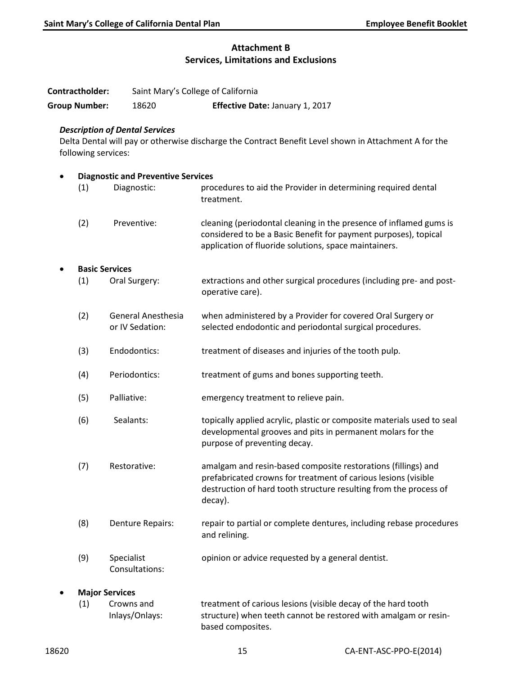### **Attachment B Services, Limitations and Exclusions**

| Contractholder:       |                     |                                              | Saint Mary's College of California                                                                                                                                                                              |  |  |  |
|-----------------------|---------------------|----------------------------------------------|-----------------------------------------------------------------------------------------------------------------------------------------------------------------------------------------------------------------|--|--|--|
| <b>Group Number:</b>  |                     | 18620                                        | Effective Date: January 1, 2017                                                                                                                                                                                 |  |  |  |
|                       | following services: | <b>Description of Dental Services</b>        | Delta Dental will pay or otherwise discharge the Contract Benefit Level shown in Attachment A for the                                                                                                           |  |  |  |
| $\bullet$             |                     | <b>Diagnostic and Preventive Services</b>    |                                                                                                                                                                                                                 |  |  |  |
|                       | (1)                 | Diagnostic:                                  | procedures to aid the Provider in determining required dental<br>treatment.                                                                                                                                     |  |  |  |
|                       | (2)                 | Preventive:                                  | cleaning (periodontal cleaning in the presence of inflamed gums is<br>considered to be a Basic Benefit for payment purposes), topical<br>application of fluoride solutions, space maintainers.                  |  |  |  |
| <b>Basic Services</b> |                     |                                              |                                                                                                                                                                                                                 |  |  |  |
|                       | (1)                 | Oral Surgery:                                | extractions and other surgical procedures (including pre- and post-<br>operative care).                                                                                                                         |  |  |  |
|                       | (2)                 | <b>General Anesthesia</b><br>or IV Sedation: | when administered by a Provider for covered Oral Surgery or<br>selected endodontic and periodontal surgical procedures.                                                                                         |  |  |  |
|                       | (3)                 | Endodontics:                                 | treatment of diseases and injuries of the tooth pulp.                                                                                                                                                           |  |  |  |
|                       | (4)                 | Periodontics:                                | treatment of gums and bones supporting teeth.                                                                                                                                                                   |  |  |  |
|                       | (5)                 | Palliative:                                  | emergency treatment to relieve pain.                                                                                                                                                                            |  |  |  |
|                       | (6)                 | Sealants:                                    | topically applied acrylic, plastic or composite materials used to seal<br>developmental grooves and pits in permanent molars for the<br>purpose of preventing decay.                                            |  |  |  |
|                       | (7)                 | Restorative:                                 | amalgam and resin-based composite restorations (fillings) and<br>prefabricated crowns for treatment of carious lesions (visible<br>destruction of hard tooth structure resulting from the process of<br>decay). |  |  |  |
|                       | (8)                 | Denture Repairs:                             | repair to partial or complete dentures, including rebase procedures<br>and relining.                                                                                                                            |  |  |  |
|                       | (9)                 | Specialist<br>Consultations:                 | opinion or advice requested by a general dentist.                                                                                                                                                               |  |  |  |
| <b>Major Services</b> |                     |                                              |                                                                                                                                                                                                                 |  |  |  |
|                       | (1)                 | Crowns and<br>Inlays/Onlays:                 | treatment of carious lesions (visible decay of the hard tooth<br>structure) when teeth cannot be restored with amalgam or resin-<br>based composites.                                                           |  |  |  |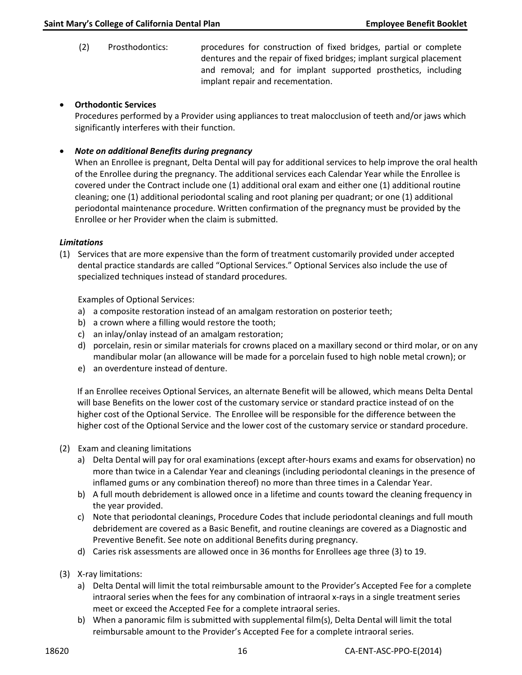(2) Prosthodontics: procedures for construction of fixed bridges, partial or complete dentures and the repair of fixed bridges; implant surgical placement and removal; and for implant supported prosthetics, including implant repair and recementation.

#### • **Orthodontic Services**

Procedures performed by a Provider using appliances to treat malocclusion of teeth and/or jaws which significantly interferes with their function.

#### • *Note on additional Benefits during pregnancy*

When an Enrollee is pregnant, Delta Dental will pay for additional services to help improve the oral health of the Enrollee during the pregnancy. The additional services each Calendar Year while the Enrollee is covered under the Contract include one (1) additional oral exam and either one (1) additional routine cleaning; one (1) additional periodontal scaling and root planing per quadrant; or one (1) additional periodontal maintenance procedure. Written confirmation of the pregnancy must be provided by the Enrollee or her Provider when the claim is submitted.

#### *Limitations*

(1) Services that are more expensive than the form of treatment customarily provided under accepted dental practice standards are called "Optional Services." Optional Services also include the use of specialized techniques instead of standard procedures.

Examples of Optional Services:

- a) a composite restoration instead of an amalgam restoration on posterior teeth;
- b) a crown where a filling would restore the tooth;
- c) an inlay/onlay instead of an amalgam restoration;
- d) porcelain, resin or similar materials for crowns placed on a maxillary second or third molar, or on any mandibular molar (an allowance will be made for a porcelain fused to high noble metal crown); or
- e) an overdenture instead of denture.

If an Enrollee receives Optional Services, an alternate Benefit will be allowed, which means Delta Dental will base Benefits on the lower cost of the customary service or standard practice instead of on the higher cost of the Optional Service. The Enrollee will be responsible for the difference between the higher cost of the Optional Service and the lower cost of the customary service or standard procedure.

- (2) Exam and cleaning limitations
	- a) Delta Dental will pay for oral examinations (except after-hours exams and exams for observation) no more than twice in a Calendar Year and cleanings (including periodontal cleanings in the presence of inflamed gums or any combination thereof) no more than three times in a Calendar Year.
	- b) A full mouth debridement is allowed once in a lifetime and counts toward the cleaning frequency in the year provided.
	- c) Note that periodontal cleanings, Procedure Codes that include periodontal cleanings and full mouth debridement are covered as a Basic Benefit, and routine cleanings are covered as a Diagnostic and Preventive Benefit. See note on additional Benefits during pregnancy.
	- d) Caries risk assessments are allowed once in 36 months for Enrollees age three (3) to 19.
- (3) X-ray limitations:
	- a) Delta Dental will limit the total reimbursable amount to the Provider's Accepted Fee for a complete intraoral series when the fees for any combination of intraoral x-rays in a single treatment series meet or exceed the Accepted Fee for a complete intraoral series.
	- b) When a panoramic film is submitted with supplemental film(s), Delta Dental will limit the total reimbursable amount to the Provider's Accepted Fee for a complete intraoral series.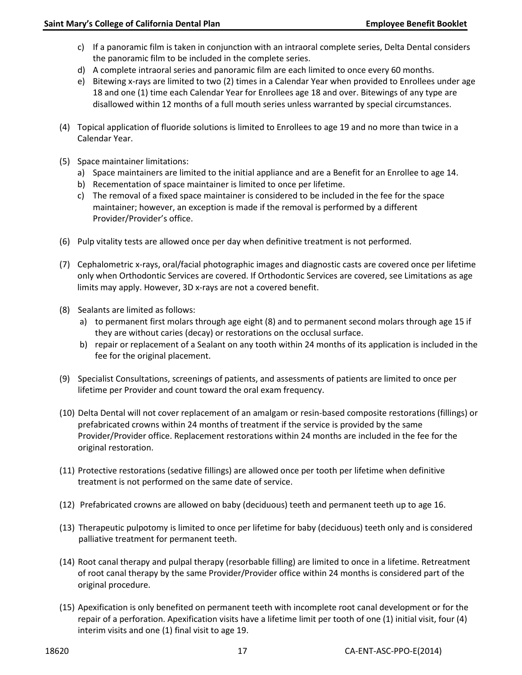- c) If a panoramic film is taken in conjunction with an intraoral complete series, Delta Dental considers the panoramic film to be included in the complete series.
- d) A complete intraoral series and panoramic film are each limited to once every 60 months.
- e) Bitewing x-rays are limited to two (2) times in a Calendar Year when provided to Enrollees under age 18 and one (1) time each Calendar Year for Enrollees age 18 and over. Bitewings of any type are disallowed within 12 months of a full mouth series unless warranted by special circumstances.
- (4) Topical application of fluoride solutions is limited to Enrollees to age 19 and no more than twice in a Calendar Year.
- (5) Space maintainer limitations:
	- a) Space maintainers are limited to the initial appliance and are a Benefit for an Enrollee to age 14.
	- b) Recementation of space maintainer is limited to once per lifetime.
	- c) The removal of a fixed space maintainer is considered to be included in the fee for the space maintainer; however, an exception is made if the removal is performed by a different Provider/Provider's office.
- (6) Pulp vitality tests are allowed once per day when definitive treatment is not performed.
- (7) Cephalometric x-rays, oral/facial photographic images and diagnostic casts are covered once per lifetime only when Orthodontic Services are covered. If Orthodontic Services are covered, see Limitations as age limits may apply. However, 3D x-rays are not a covered benefit.
- (8) Sealants are limited as follows:
	- a) to permanent first molars through age eight (8) and to permanent second molars through age 15 if they are without caries (decay) or restorations on the occlusal surface.
	- b) repair or replacement of a Sealant on any tooth within 24 months of its application is included in the fee for the original placement.
- (9) Specialist Consultations, screenings of patients, and assessments of patients are limited to once per lifetime per Provider and count toward the oral exam frequency.
- (10) Delta Dental will not cover replacement of an amalgam or resin-based composite restorations (fillings) or prefabricated crowns within 24 months of treatment if the service is provided by the same Provider/Provider office. Replacement restorations within 24 months are included in the fee for the original restoration.
- (11) Protective restorations (sedative fillings) are allowed once per tooth per lifetime when definitive treatment is not performed on the same date of service.
- (12) Prefabricated crowns are allowed on baby (deciduous) teeth and permanent teeth up to age 16.
- (13) Therapeutic pulpotomy is limited to once per lifetime for baby (deciduous) teeth only and is considered palliative treatment for permanent teeth.
- (14) Root canal therapy and pulpal therapy (resorbable filling) are limited to once in a lifetime. Retreatment of root canal therapy by the same Provider/Provider office within 24 months is considered part of the original procedure.
- (15) Apexification is only benefited on permanent teeth with incomplete root canal development or for the repair of a perforation. Apexification visits have a lifetime limit per tooth of one (1) initial visit, four (4) interim visits and one (1) final visit to age 19.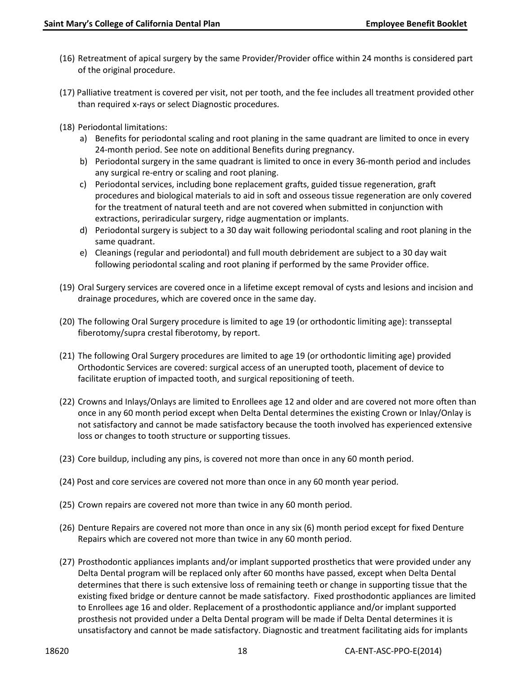- (16) Retreatment of apical surgery by the same Provider/Provider office within 24 months is considered part of the original procedure.
- (17) Palliative treatment is covered per visit, not per tooth, and the fee includes all treatment provided other than required x-rays or select Diagnostic procedures.
- (18) Periodontal limitations:
	- a) Benefits for periodontal scaling and root planing in the same quadrant are limited to once in every 24-month period. See note on additional Benefits during pregnancy.
	- b) Periodontal surgery in the same quadrant is limited to once in every 36-month period and includes any surgical re-entry or scaling and root planing.
	- c) Periodontal services, including bone replacement grafts, guided tissue regeneration, graft procedures and biological materials to aid in soft and osseous tissue regeneration are only covered for the treatment of natural teeth and are not covered when submitted in conjunction with extractions, periradicular surgery, ridge augmentation or implants.
	- d) Periodontal surgery is subject to a 30 day wait following periodontal scaling and root planing in the same quadrant.
	- e) Cleanings (regular and periodontal) and full mouth debridement are subject to a 30 day wait following periodontal scaling and root planing if performed by the same Provider office.
- (19) Oral Surgery services are covered once in a lifetime except removal of cysts and lesions and incision and drainage procedures, which are covered once in the same day.
- (20) The following Oral Surgery procedure is limited to age 19 (or orthodontic limiting age): transseptal fiberotomy/supra crestal fiberotomy, by report.
- (21) The following Oral Surgery procedures are limited to age 19 (or orthodontic limiting age) provided Orthodontic Services are covered: surgical access of an unerupted tooth, placement of device to facilitate eruption of impacted tooth, and surgical repositioning of teeth.
- (22) Crowns and Inlays/Onlays are limited to Enrollees age 12 and older and are covered not more often than once in any 60 month period except when Delta Dental determines the existing Crown or Inlay/Onlay is not satisfactory and cannot be made satisfactory because the tooth involved has experienced extensive loss or changes to tooth structure or supporting tissues.
- (23) Core buildup, including any pins, is covered not more than once in any 60 month period.
- (24) Post and core services are covered not more than once in any 60 month year period.
- (25) Crown repairs are covered not more than twice in any 60 month period.
- (26) Denture Repairs are covered not more than once in any six (6) month period except for fixed Denture Repairs which are covered not more than twice in any 60 month period.
- (27) Prosthodontic appliances implants and/or implant supported prosthetics that were provided under any Delta Dental program will be replaced only after 60 months have passed, except when Delta Dental determines that there is such extensive loss of remaining teeth or change in supporting tissue that the existing fixed bridge or denture cannot be made satisfactory. Fixed prosthodontic appliances are limited to Enrollees age 16 and older. Replacement of a prosthodontic appliance and/or implant supported prosthesis not provided under a Delta Dental program will be made if Delta Dental determines it is unsatisfactory and cannot be made satisfactory. Diagnostic and treatment facilitating aids for implants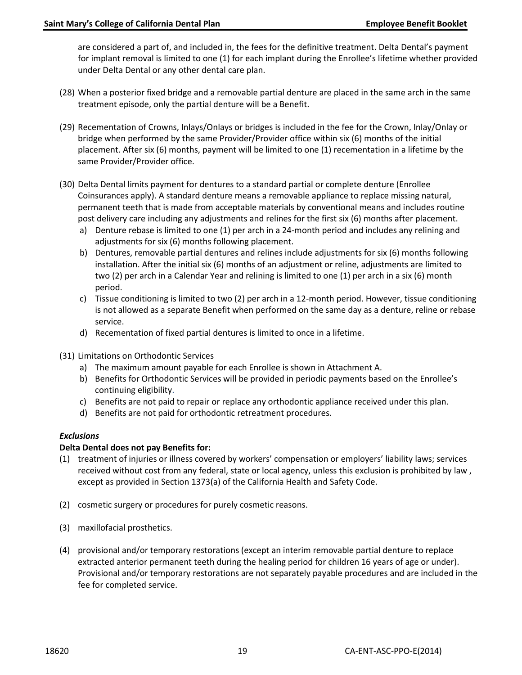are considered a part of, and included in, the fees for the definitive treatment. Delta Dental's payment for implant removal is limited to one (1) for each implant during the Enrollee's lifetime whether provided under Delta Dental or any other dental care plan.

- (28) When a posterior fixed bridge and a removable partial denture are placed in the same arch in the same treatment episode, only the partial denture will be a Benefit.
- (29) Recementation of Crowns, Inlays/Onlays or bridges is included in the fee for the Crown, Inlay/Onlay or bridge when performed by the same Provider/Provider office within six (6) months of the initial placement. After six (6) months, payment will be limited to one (1) recementation in a lifetime by the same Provider/Provider office.
- (30) Delta Dental limits payment for dentures to a standard partial or complete denture (Enrollee Coinsurances apply). A standard denture means a removable appliance to replace missing natural, permanent teeth that is made from acceptable materials by conventional means and includes routine post delivery care including any adjustments and relines for the first six (6) months after placement.
	- a) Denture rebase is limited to one (1) per arch in a 24-month period and includes any relining and adjustments for six (6) months following placement.
	- b) Dentures, removable partial dentures and relines include adjustments for six (6) months following installation. After the initial six (6) months of an adjustment or reline, adjustments are limited to two (2) per arch in a Calendar Year and relining is limited to one (1) per arch in a six (6) month period.
	- c) Tissue conditioning is limited to two (2) per arch in a 12-month period. However, tissue conditioning is not allowed as a separate Benefit when performed on the same day as a denture, reline or rebase service.
	- d) Recementation of fixed partial dentures is limited to once in a lifetime.
- (31) Limitations on Orthodontic Services
	- a) The maximum amount payable for each Enrollee is shown in Attachment A.
	- b) Benefits for Orthodontic Services will be provided in periodic payments based on the Enrollee's continuing eligibility.
	- c) Benefits are not paid to repair or replace any orthodontic appliance received under this plan.
	- d) Benefits are not paid for orthodontic retreatment procedures.

#### *Exclusions*

#### **Delta Dental does not pay Benefits for:**

- (1) treatment of injuries or illness covered by workers' compensation or employers' liability laws; services received without cost from any federal, state or local agency, unless this exclusion is prohibited by law , except as provided in Section 1373(a) of the California Health and Safety Code.
- (2) cosmetic surgery or procedures for purely cosmetic reasons.
- (3) maxillofacial prosthetics.
- (4) provisional and/or temporary restorations (except an interim removable partial denture to replace extracted anterior permanent teeth during the healing period for children 16 years of age or under). Provisional and/or temporary restorations are not separately payable procedures and are included in the fee for completed service.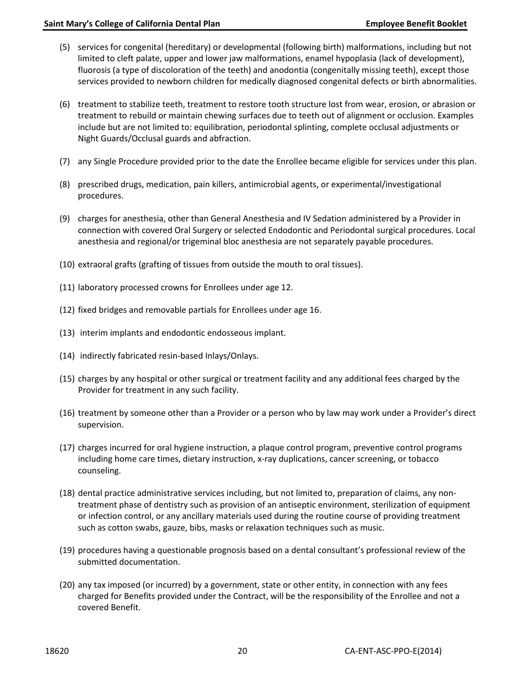- (5) services for congenital (hereditary) or developmental (following birth) malformations, including but not limited to cleft palate, upper and lower jaw malformations, enamel hypoplasia (lack of development), fluorosis (a type of discoloration of the teeth) and anodontia (congenitally missing teeth), except those services provided to newborn children for medically diagnosed congenital defects or birth abnormalities.
- (6) treatment to stabilize teeth, treatment to restore tooth structure lost from wear, erosion, or abrasion or treatment to rebuild or maintain chewing surfaces due to teeth out of alignment or occlusion. Examples include but are not limited to: equilibration, periodontal splinting, complete occlusal adjustments or Night Guards/Occlusal guards and abfraction.
- (7) any Single Procedure provided prior to the date the Enrollee became eligible for services under this plan.
- (8) prescribed drugs, medication, pain killers, antimicrobial agents, or experimental/investigational procedures.
- (9) charges for anesthesia, other than General Anesthesia and IV Sedation administered by a Provider in connection with covered Oral Surgery or selected Endodontic and Periodontal surgical procedures. Local anesthesia and regional/or trigeminal bloc anesthesia are not separately payable procedures.
- (10) extraoral grafts (grafting of tissues from outside the mouth to oral tissues).
- (11) laboratory processed crowns for Enrollees under age 12.
- (12) fixed bridges and removable partials for Enrollees under age 16.
- (13) interim implants and endodontic endosseous implant.
- (14) indirectly fabricated resin-based Inlays/Onlays.
- (15) charges by any hospital or other surgical or treatment facility and any additional fees charged by the Provider for treatment in any such facility.
- (16) treatment by someone other than a Provider or a person who by law may work under a Provider's direct supervision.
- (17) charges incurred for oral hygiene instruction, a plaque control program, preventive control programs including home care times, dietary instruction, x-ray duplications, cancer screening, or tobacco counseling.
- (18) dental practice administrative services including, but not limited to, preparation of claims, any nontreatment phase of dentistry such as provision of an antiseptic environment, sterilization of equipment or infection control, or any ancillary materials used during the routine course of providing treatment such as cotton swabs, gauze, bibs, masks or relaxation techniques such as music.
- (19) procedures having a questionable prognosis based on a dental consultant's professional review of the submitted documentation.
- (20) any tax imposed (or incurred) by a government, state or other entity, in connection with any fees charged for Benefits provided under the Contract, will be the responsibility of the Enrollee and not a covered Benefit.